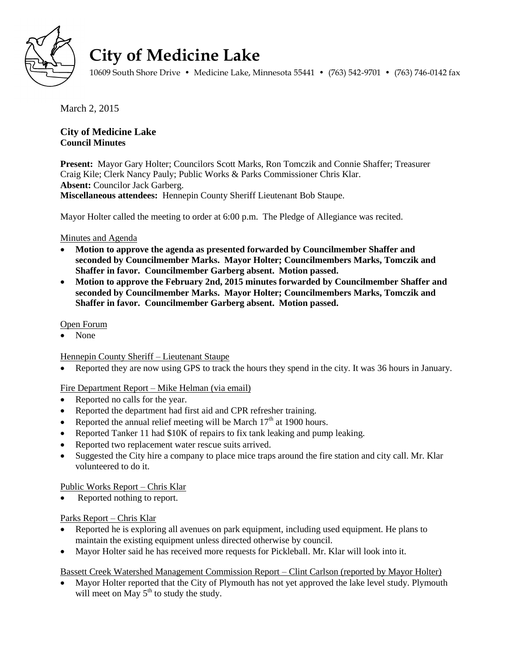

# **City of Medicine Lake**

10609 South Shore Drive • Medicine Lake, Minnesota 55441 • (763) 542-9701 • (763) 746-0142 fax

March 2, 2015

## **City of Medicine Lake Council Minutes**

**Present:** Mayor Gary Holter; Councilors Scott Marks, Ron Tomczik and Connie Shaffer; Treasurer Craig Kile; Clerk Nancy Pauly; Public Works & Parks Commissioner Chris Klar. **Absent:** Councilor Jack Garberg. **Miscellaneous attendees:** Hennepin County Sheriff Lieutenant Bob Staupe.

Mayor Holter called the meeting to order at 6:00 p.m. The Pledge of Allegiance was recited.

#### Minutes and Agenda

- **Motion to approve the agenda as presented forwarded by Councilmember Shaffer and seconded by Councilmember Marks. Mayor Holter; Councilmembers Marks, Tomczik and Shaffer in favor. Councilmember Garberg absent. Motion passed.**
- **Motion to approve the February 2nd, 2015 minutes forwarded by Councilmember Shaffer and seconded by Councilmember Marks. Mayor Holter; Councilmembers Marks, Tomczik and Shaffer in favor. Councilmember Garberg absent. Motion passed.**

## Open Forum

None

## Hennepin County Sheriff – Lieutenant Staupe

Reported they are now using GPS to track the hours they spend in the city. It was 36 hours in January.

## Fire Department Report – Mike Helman (via email)

- Reported no calls for the year.
- Reported the department had first aid and CPR refresher training.
- Reported the annual relief meeting will be March  $17<sup>th</sup>$  at 1900 hours.
- Reported Tanker 11 had \$10K of repairs to fix tank leaking and pump leaking.
- Reported two replacement water rescue suits arrived.
- Suggested the City hire a company to place mice traps around the fire station and city call. Mr. Klar volunteered to do it.

## Public Works Report – Chris Klar

Reported nothing to report.

## Parks Report – Chris Klar

- Reported he is exploring all avenues on park equipment, including used equipment. He plans to maintain the existing equipment unless directed otherwise by council.
- Mayor Holter said he has received more requests for Pickleball. Mr. Klar will look into it.

#### Bassett Creek Watershed Management Commission Report – Clint Carlson (reported by Mayor Holter)

 Mayor Holter reported that the City of Plymouth has not yet approved the lake level study. Plymouth will meet on May  $5<sup>th</sup>$  to study the study.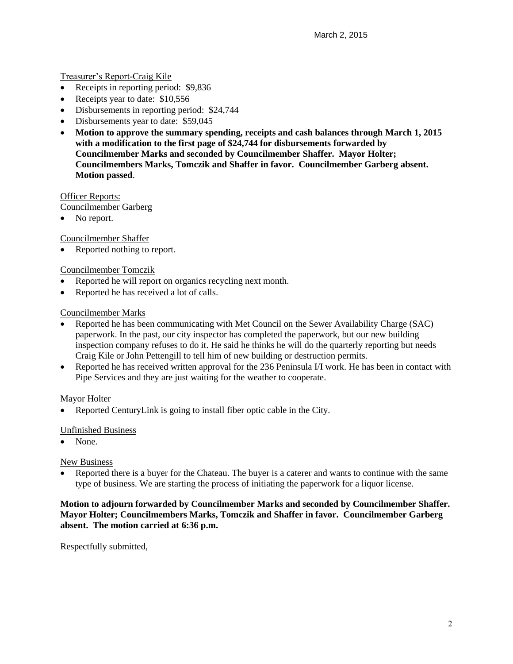#### Treasurer's Report-Craig Kile

- Receipts in reporting period: \$9,836
- Receipts year to date: \$10,556
- Disbursements in reporting period: \$24,744
- Disbursements year to date: \$59,045
- **Motion to approve the summary spending, receipts and cash balances through March 1, 2015 with a modification to the first page of \$24,744 for disbursements forwarded by Councilmember Marks and seconded by Councilmember Shaffer. Mayor Holter; Councilmembers Marks, Tomczik and Shaffer in favor. Councilmember Garberg absent. Motion passed**.

Officer Reports:

Councilmember Garberg

• No report.

Councilmember Shaffer

Reported nothing to report.

#### Councilmember Tomczik

- Reported he will report on organics recycling next month.
- Reported he has received a lot of calls.

#### Councilmember Marks

- Reported he has been communicating with Met Council on the Sewer Availability Charge (SAC) paperwork. In the past, our city inspector has completed the paperwork, but our new building inspection company refuses to do it. He said he thinks he will do the quarterly reporting but needs Craig Kile or John Pettengill to tell him of new building or destruction permits.
- Reported he has received written approval for the 236 Peninsula I/I work. He has been in contact with Pipe Services and they are just waiting for the weather to cooperate.

#### Mayor Holter

Reported CenturyLink is going to install fiber optic cable in the City.

#### Unfinished Business

• None.

#### New Business

 Reported there is a buyer for the Chateau. The buyer is a caterer and wants to continue with the same type of business. We are starting the process of initiating the paperwork for a liquor license.

#### **Motion to adjourn forwarded by Councilmember Marks and seconded by Councilmember Shaffer. Mayor Holter; Councilmembers Marks, Tomczik and Shaffer in favor. Councilmember Garberg absent. The motion carried at 6:36 p.m.**

Respectfully submitted,